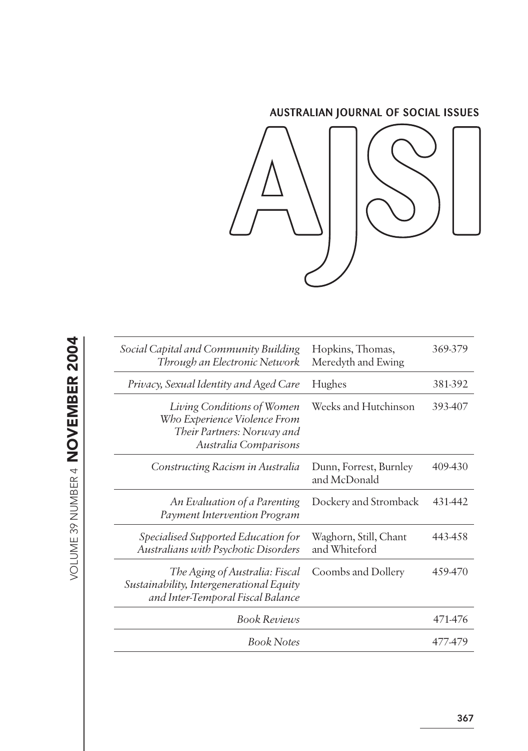# AUSTRALIAN JOURNAL OF SOCIAL ISSUES



| J                     |  |
|-----------------------|--|
|                       |  |
|                       |  |
| č                     |  |
| C                     |  |
|                       |  |
|                       |  |
|                       |  |
|                       |  |
|                       |  |
|                       |  |
|                       |  |
|                       |  |
|                       |  |
| J                     |  |
|                       |  |
|                       |  |
|                       |  |
| I IN ADED             |  |
|                       |  |
| A<br>C<br>C<br>L<br>. |  |
|                       |  |
|                       |  |
|                       |  |
| $\frac{1}{2}$         |  |
|                       |  |
|                       |  |

| Social Capital and Community Building<br>Through an Electronic Network                                            | Hopkins, Thomas,<br>Meredyth and Ewing | 369-379 |
|-------------------------------------------------------------------------------------------------------------------|----------------------------------------|---------|
| Privacy, Sexual Identity and Aged Care                                                                            | Hughes                                 | 381-392 |
| Living Conditions of Women<br>Who Experience Violence From<br>Their Partners: Norway and<br>Australia Comparisons | Weeks and Hutchinson                   | 393-407 |
| Constructing Racism in Australia                                                                                  | Dunn, Forrest, Burnley<br>and McDonald | 409-430 |
| An Evaluation of a Parenting<br>Payment Intervention Program                                                      | Dockery and Stromback                  | 431-442 |
| Specialised Supported Education for<br>Australians with Psychotic Disorders                                       | Waghorn, Still, Chant<br>and Whiteford | 443-458 |
| The Aging of Australia: Fiscal<br>Sustainability, Intergenerational Equity<br>and Inter-Temporal Fiscal Balance   | Coombs and Dollery                     | 459-470 |
| <b>Book Reviews</b>                                                                                               |                                        | 471-476 |
| <b>Book Notes</b>                                                                                                 |                                        | 477-479 |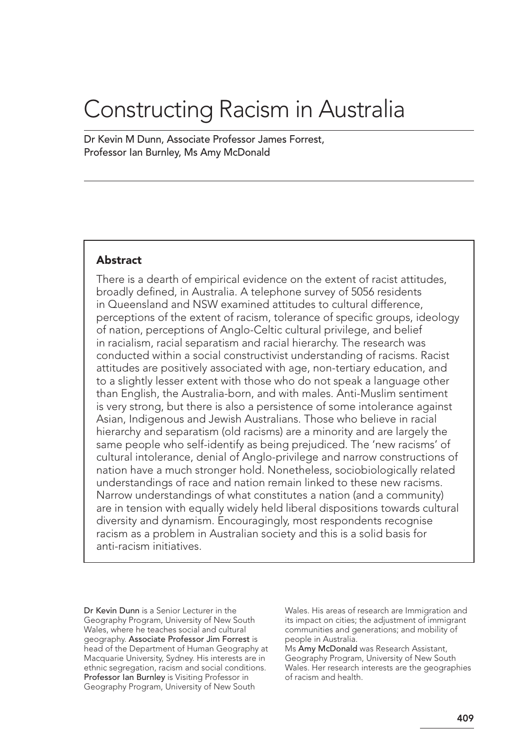# Constructing Racism in Australia

Dr Kevin M Dunn, Associate Professor James Forrest, Professor Ian Burnley, Ms Amy McDonald

## Abstract

There is a dearth of empirical evidence on the extent of racist attitudes, broadly defined, in Australia. A telephone survey of 5056 residents in Queensland and NSW examined attitudes to cultural difference, perceptions of the extent of racism, tolerance of specific groups, ideology of nation, perceptions of Anglo-Celtic cultural privilege, and belief in racialism, racial separatism and racial hierarchy. The research was conducted within a social constructivist understanding of racisms. Racist attitudes are positively associated with age, non-tertiary education, and to a slightly lesser extent with those who do not speak a language other than English, the Australia-born, and with males. Anti-Muslim sentiment is very strong, but there is also a persistence of some intolerance against Asian, Indigenous and Jewish Australians. Those who believe in racial hierarchy and separatism (old racisms) are a minority and are largely the same people who self-identify as being prejudiced. The 'new racisms' of cultural intolerance, denial of Anglo-privilege and narrow constructions of nation have a much stronger hold. Nonetheless, sociobiologically related understandings of race and nation remain linked to these new racisms. Narrow understandings of what constitutes a nation (and a community) are in tension with equally widely held liberal dispositions towards cultural diversity and dynamism. Encouragingly, most respondents recognise racism as a problem in Australian society and this is a solid basis for anti-racism initiatives.

Dr Kevin Dunn is a Senior Lecturer in the Geography Program, University of New South Wales, where he teaches social and cultural geography. Associate Professor Jim Forrest is head of the Department of Human Geography at Macquarie University, Sydney. His interests are in ethnic segregation, racism and social conditions. Professor Ian Burnley is Visiting Professor in Geography Program, University of New South

Wales. His areas of research are Immigration and its impact on cities; the adjustment of immigrant communities and generations; and mobility of people in Australia.

Ms Amy McDonald was Research Assistant, Geography Program, University of New South Wales. Her research interests are the geographies of racism and health.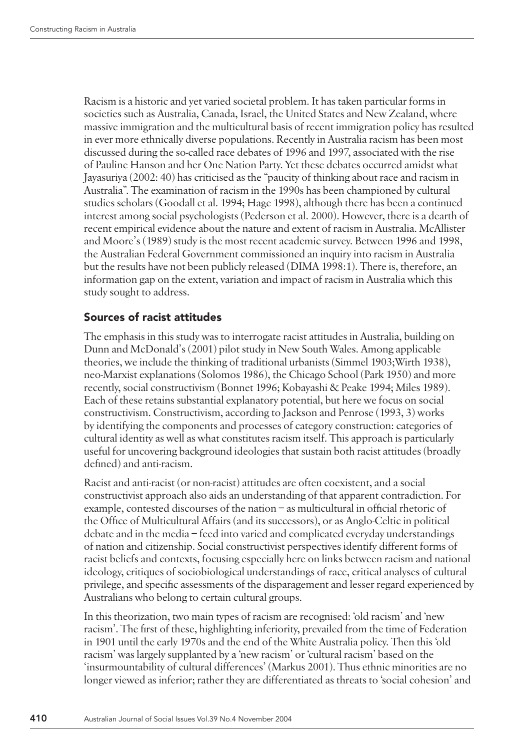Racism is a historic and yet varied societal problem. It has taken particular forms in societies such as Australia, Canada, Israel, the United States and New Zealand, where massive immigration and the multicultural basis of recent immigration policy has resulted in ever more ethnically diverse populations. Recently in Australia racism has been most discussed during the so-called race debates of 1996 and 1997, associated with the rise of Pauline Hanson and her One Nation Party. Yet these debates occurred amidst what Jayasuriya (2002: 40) has criticised as the "paucity of thinking about race and racism in Australia". The examination of racism in the 1990s has been championed by cultural studies scholars (Goodall et al. 1994; Hage 1998), although there has been a continued interest among social psychologists (Pederson et al. 2000). However, there is a dearth of recent empirical evidence about the nature and extent of racism in Australia. McAllister and Moore's (1989) study is the most recent academic survey. Between 1996 and 1998, the Australian Federal Government commissioned an inquiry into racism in Australia but the results have not been publicly released (DIMA 1998:1). There is, therefore, an information gap on the extent, variation and impact of racism in Australia which this study sought to address.

## Sources of racist attitudes

The emphasis in this study was to interrogate racist attitudes in Australia, building on Dunn and McDonald's (2001) pilot study in New South Wales. Among applicable theories, we include the thinking of traditional urbanists (Simmel 1903;Wirth 1938), neo-Marxist explanations (Solomos 1986), the Chicago School (Park 1950) and more recently, social constructivism (Bonnet 1996; Kobayashi & Peake 1994; Miles 1989). Each of these retains substantial explanatory potential, but here we focus on social constructivism. Constructivism, according to Jackson and Penrose (1993, 3) works by identifying the components and processes of category construction: categories of cultural identity as well as what constitutes racism itself. This approach is particularly useful for uncovering background ideologies that sustain both racist attitudes (broadly defined) and anti-racism.

Racist and anti-racist (or non-racist) attitudes are often coexistent, and a social constructivist approach also aids an understanding of that apparent contradiction. For example, contested discourses of the nation – as multicultural in official rhetoric of the Office of Multicultural Affairs (and its successors), or as Anglo-Celtic in political debate and in the media – feed into varied and complicated everyday understandings of nation and citizenship. Social constructivist perspectives identify different forms of racist beliefs and contexts, focusing especially here on links between racism and national ideology, critiques of sociobiological understandings of race, critical analyses of cultural privilege, and specific assessments of the disparagement and lesser regard experienced by Australians who belong to certain cultural groups.

In this theorization, two main types of racism are recognised: 'old racism' and 'new racism'. The first of these, highlighting inferiority, prevailed from the time of Federation in 1901 until the early 1970s and the end of the White Australia policy. Then this 'old racism' was largely supplanted by a 'new racism' or 'cultural racism' based on the 'insurmountability of cultural differences' (Markus 2001). Thus ethnic minorities are no longer viewed as inferior; rather they are differentiated as threats to 'social cohesion' and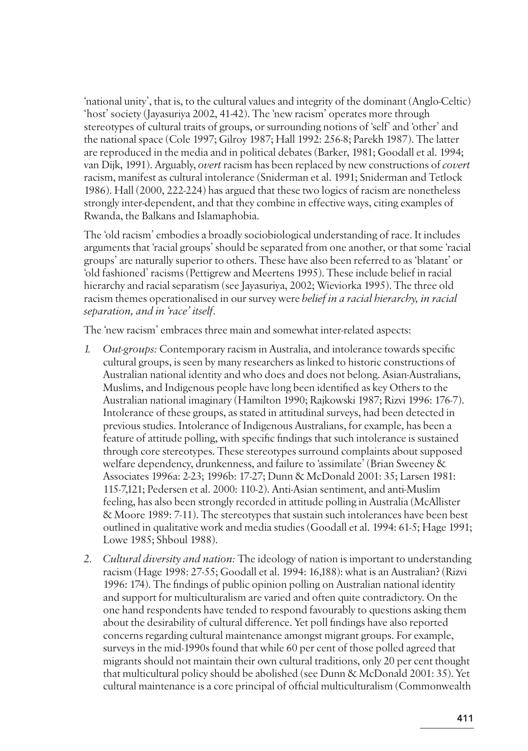'national unity', that is, to the cultural values and integrity of the dominant (Anglo-Celtic) 'host' society (Jayasuriya 2002, 41-42). The 'new racism' operates more through stereotypes of cultural traits of groups, or surrounding notions of 'self' and 'other' and the national space (Cole 1997; Gilroy 1987; Hall 1992: 256-8; Parekh 1987). The latter are reproduced in the media and in political debates (Barker, 1981; Goodall et al. 1994; van Dijk, 1991). Arguably, overt racism has been replaced by new constructions of covert racism, manifest as cultural intolerance (Sniderman et al. 1991; Sniderman and Tetlock 1986). Hall (2000, 222-224) has argued that these two logics of racism are nonetheless strongly inter-dependent, and that they combine in effective ways, citing examples of Rwanda, the Balkans and Islamaphobia.

The 'old racism' embodies a broadly sociobiological understanding of race. It includes arguments that 'racial groups' should be separated from one another, or that some 'racial groups' are naturally superior to others. These have also been referred to as 'blatant' or 'old fashioned' racisms (Pettigrew and Meertens 1995). These include belief in racial hierarchy and racial separatism (see Jayasuriya, 2002; Wieviorka 1995). The three old racism themes operationalised in our survey were belief in a racial hierarchy, in racial separation, and in 'race' itself.

The 'new racism' embraces three main and somewhat inter-related aspects:

- 1. Out-groups: Contemporary racism in Australia, and intolerance towards specific cultural groups, is seen by many researchers as linked to historic constructions of Australian national identity and who does and does not belong. Asian-Australians, Muslims, and Indigenous people have long been identified as key Others to the Australian national imaginary (Hamilton 1990; Rajkowski 1987; Rizvi 1996: 176-7). Intolerance of these groups, as stated in attitudinal surveys, had been detected in previous studies. Intolerance of Indigenous Australians, for example, has been a feature of attitude polling, with specific findings that such intolerance is sustained through core stereotypes. These stereotypes surround complaints about supposed welfare dependency, drunkenness, and failure to 'assimilate' (Brian Sweeney & Associates 1996a: 2-23; 1996b: 17-27; Dunn & McDonald 2001: 35; Larsen 1981: 115-7,121; Pedersen et al. 2000: 110-2). Anti-Asian sentiment, and anti-Muslim feeling, has also been strongly recorded in attitude polling in Australia (McAllister & Moore 1989: 7-11). The stereotypes that sustain such intolerances have been best outlined in qualitative work and media studies (Goodall et al. 1994: 61-5; Hage 1991; Lowe 1985; Shboul 1988).
- 2. Cultural diversity and nation: The ideology of nation is important to understanding racism (Hage 1998: 27-55; Goodall et al. 1994: 16,188): what is an Australian? (Rizvi 1996: 174). The findings of public opinion polling on Australian national identity and support for multiculturalism are varied and often quite contradictory. On the one hand respondents have tended to respond favourably to questions asking them about the desirability of cultural difference. Yet poll findings have also reported concerns regarding cultural maintenance amongst migrant groups. For example, surveys in the mid-1990s found that while 60 per cent of those polled agreed that migrants should not maintain their own cultural traditions, only 20 per cent thought that multicultural policy should be abolished (see Dunn & McDonald 2001: 35). Yet cultural maintenance is a core principal of official multiculturalism (Commonwealth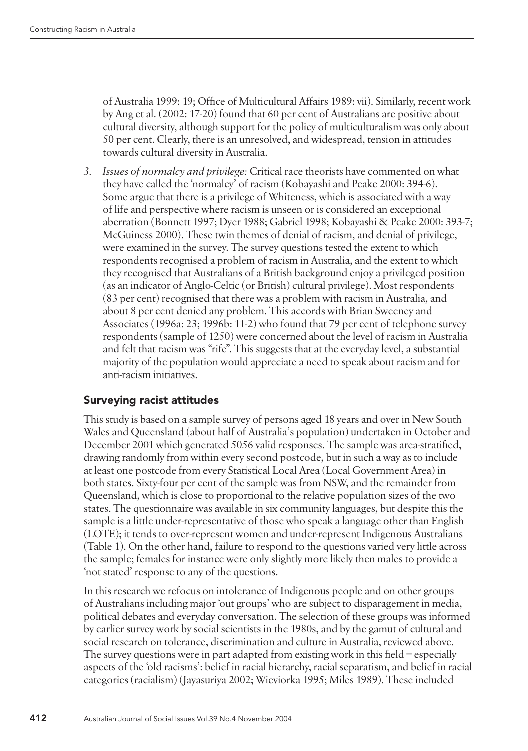of Australia 1999: 19; Office of Multicultural Affairs 1989: vii). Similarly, recent work by Ang et al. (2002: 17-20) found that 60 per cent of Australians are positive about cultural diversity, although support for the policy of multiculturalism was only about 50 per cent. Clearly, there is an unresolved, and widespread, tension in attitudes towards cultural diversity in Australia.

3. Issues of normalcy and privilege: Critical race theorists have commented on what they have called the 'normalcy' of racism (Kobayashi and Peake 2000: 394-6). Some argue that there is a privilege of Whiteness, which is associated with a way of life and perspective where racism is unseen or is considered an exceptional aberration (Bonnett 1997; Dyer 1988; Gabriel 1998; Kobayashi & Peake 2000: 393-7; McGuiness 2000). These twin themes of denial of racism, and denial of privilege, were examined in the survey. The survey questions tested the extent to which respondents recognised a problem of racism in Australia, and the extent to which they recognised that Australians of a British background enjoy a privileged position (as an indicator of Anglo-Celtic (or British) cultural privilege). Most respondents (83 per cent) recognised that there was a problem with racism in Australia, and about 8 per cent denied any problem. This accords with Brian Sweeney and Associates (1996a: 23; 1996b: 11-2) who found that 79 per cent of telephone survey respondents (sample of 1250) were concerned about the level of racism in Australia and felt that racism was "rife". This suggests that at the everyday level, a substantial majority of the population would appreciate a need to speak about racism and for anti-racism initiatives.

# Surveying racist attitudes

This study is based on a sample survey of persons aged 18 years and over in New South Wales and Queensland (about half of Australia's population) undertaken in October and December 2001 which generated 5056 valid responses. The sample was area-stratified, drawing randomly from within every second postcode, but in such a way as to include at least one postcode from every Statistical Local Area (Local Government Area) in both states. Sixty-four per cent of the sample was from NSW, and the remainder from Queensland, which is close to proportional to the relative population sizes of the two states. The questionnaire was available in six community languages, but despite this the sample is a little under-representative of those who speak a language other than English (LOTE); it tends to over-represent women and under-represent Indigenous Australians (Table 1). On the other hand, failure to respond to the questions varied very little across the sample; females for instance were only slightly more likely then males to provide a 'not stated' response to any of the questions.

In this research we refocus on intolerance of Indigenous people and on other groups of Australians including major 'out groups' who are subject to disparagement in media, political debates and everyday conversation. The selection of these groups was informed by earlier survey work by social scientists in the 1980s, and by the gamut of cultural and social research on tolerance, discrimination and culture in Australia, reviewed above. The survey questions were in part adapted from existing work in this field – especially aspects of the 'old racisms': belief in racial hierarchy, racial separatism, and belief in racial categories (racialism) (Jayasuriya 2002; Wieviorka 1995; Miles 1989). These included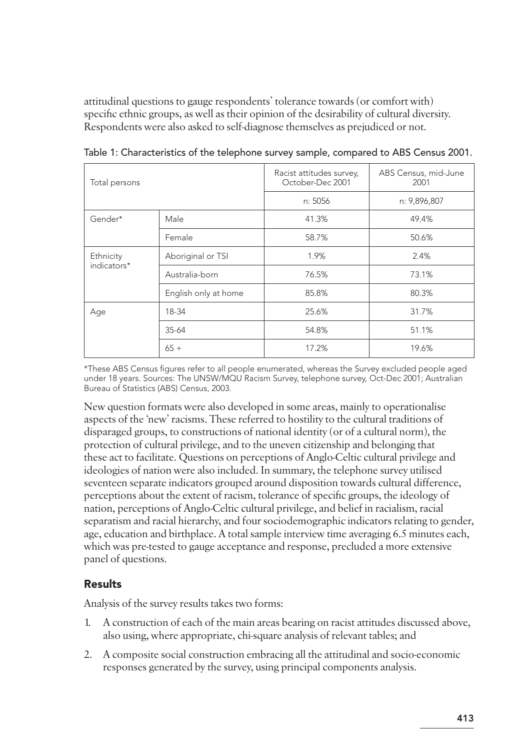attitudinal questions to gauge respondents' tolerance towards (or comfort with) specific ethnic groups, as well as their opinion of the desirability of cultural diversity. Respondents were also asked to self-diagnose themselves as prejudiced or not.

| Total persons |                      | Racist attitudes survey,<br>October-Dec 2001 | ABS Census, mid-June<br>2001 |
|---------------|----------------------|----------------------------------------------|------------------------------|
|               |                      | n: 5056                                      | n: 9,896,807                 |
| Gender*       | Male                 | 41.3%                                        | 49.4%                        |
|               | Female               | 58.7%                                        | 50.6%                        |
| Ethnicity     | Aboriginal or TSI    | 1.9%                                         | 2.4%                         |
| indicators*   | Australia-born       | 76.5%                                        | 73.1%                        |
|               | English only at home | 85.8%                                        | 80.3%                        |
| Age           | 18-34                | 25.6%                                        | 31.7%                        |
|               | $35-64$              | 54.8%                                        | 51.1%                        |
|               | $65+$                | 17.2%                                        | 19.6%                        |

Table 1: Characteristics of the telephone survey sample, compared to ABS Census 2001.

\*These ABS Census figures refer to all people enumerated, whereas the Survey excluded people aged under 18 years. Sources: The UNSW/MQU Racism Survey, telephone survey, Oct-Dec 2001; Australian Bureau of Statistics (ABS) Census, 2003.

New question formats were also developed in some areas, mainly to operationalise aspects of the 'new' racisms. These referred to hostility to the cultural traditions of disparaged groups, to constructions of national identity (or of a cultural norm), the protection of cultural privilege, and to the uneven citizenship and belonging that these act to facilitate. Questions on perceptions of Anglo-Celtic cultural privilege and ideologies of nation were also included. In summary, the telephone survey utilised seventeen separate indicators grouped around disposition towards cultural difference, perceptions about the extent of racism, tolerance of specific groups, the ideology of nation, perceptions of Anglo-Celtic cultural privilege, and belief in racialism, racial separatism and racial hierarchy, and four sociodemographic indicators relating to gender, age, education and birthplace. A total sample interview time averaging 6.5 minutes each, which was pre-tested to gauge acceptance and response, precluded a more extensive panel of questions.

# Results

Analysis of the survey results takes two forms:

- 1. A construction of each of the main areas bearing on racist attitudes discussed above, also using, where appropriate, chi-square analysis of relevant tables; and
- 2. A composite social construction embracing all the attitudinal and socio-economic responses generated by the survey, using principal components analysis.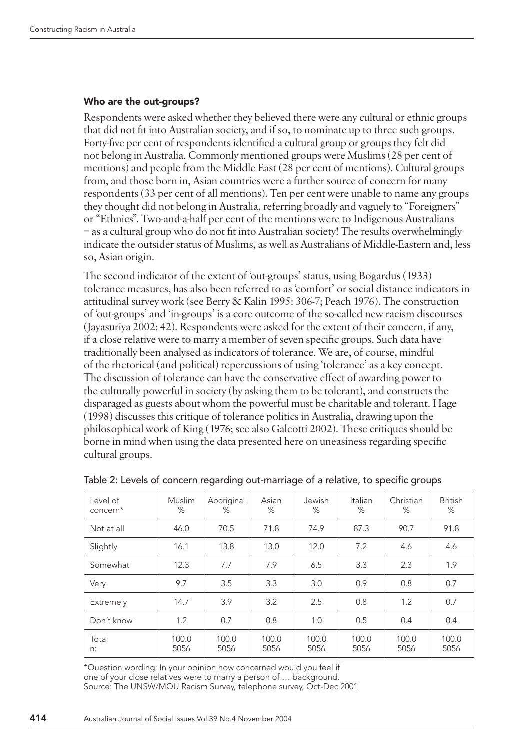#### Who are the out-groups?

Respondents were asked whether they believed there were any cultural or ethnic groups that did not fit into Australian society, and if so, to nominate up to three such groups. Forty-five per cent of respondents identified a cultural group or groups they felt did not belong in Australia. Commonly mentioned groups were Muslims (28 per cent of mentions) and people from the Middle East (28 per cent of mentions). Cultural groups from, and those born in, Asian countries were a further source of concern for many respondents (33 per cent of all mentions). Ten per cent were unable to name any groups they thought did not belong in Australia, referring broadly and vaguely to "Foreigners" or "Ethnics". Two-and-a-half per cent of the mentions were to Indigenous Australians – as a cultural group who do not fit into Australian society! The results overwhelmingly indicate the outsider status of Muslims, as well as Australians of Middle-Eastern and, less so, Asian origin.

The second indicator of the extent of 'out-groups' status, using Bogardus (1933) tolerance measures, has also been referred to as 'comfort' or social distance indicators in attitudinal survey work (see Berry & Kalin 1995: 306-7; Peach 1976). The construction of 'out-groups' and 'in-groups' is a core outcome of the so-called new racism discourses (Jayasuriya 2002: 42). Respondents were asked for the extent of their concern, if any, if a close relative were to marry a member of seven specific groups. Such data have traditionally been analysed as indicators of tolerance. We are, of course, mindful of the rhetorical (and political) repercussions of using 'tolerance' as a key concept. The discussion of tolerance can have the conservative effect of awarding power to the culturally powerful in society (by asking them to be tolerant), and constructs the disparaged as guests about whom the powerful must be charitable and tolerant. Hage (1998) discusses this critique of tolerance politics in Australia, drawing upon the philosophical work of King (1976; see also Galeotti 2002). These critiques should be borne in mind when using the data presented here on uneasiness regarding specific cultural groups.

| Level of<br>concern <sup>*</sup> | Muslim<br>%   | Aboriginal<br>% | Asian<br>%    | Jewish<br>%   | Italian<br>%  | Christian<br>% | <b>British</b><br>% |
|----------------------------------|---------------|-----------------|---------------|---------------|---------------|----------------|---------------------|
| Not at all                       | 46.0          | 70.5            | 71.8          | 74.9          | 87.3          | 90.7           | 91.8                |
| Slightly                         | 16.1          | 13.8            | 13.0          | 12.0          | 7.2           | 4.6            | 4.6                 |
| Somewhat                         | 12.3          | 7.7             | 7.9           | 6.5           | 3.3           | 2.3            | 1.9                 |
| Very                             | 9.7           | 3.5             | 3.3           | 3.0           | 0.9           | 0.8            | 0.7                 |
| Extremely                        | 14.7          | 3.9             | 3.2           | 2.5           | 0.8           | 1.2            | 0.7                 |
| Don't know                       | 1.2           | 0.7             | 0.8           | 1.0           | 0.5           | 0.4            | 0.4                 |
| Total<br>n:                      | 100.0<br>5056 | 100.0<br>5056   | 100.0<br>5056 | 100.0<br>5056 | 100.0<br>5056 | 100.0<br>5056  | 100.0<br>5056       |

Table 2: Levels of concern regarding out-marriage of a relative, to specific groups

\*Question wording: In your opinion how concerned would you feel if one of your close relatives were to marry a person of … background. Source: The UNSW/MQU Racism Survey, telephone survey, Oct-Dec 2001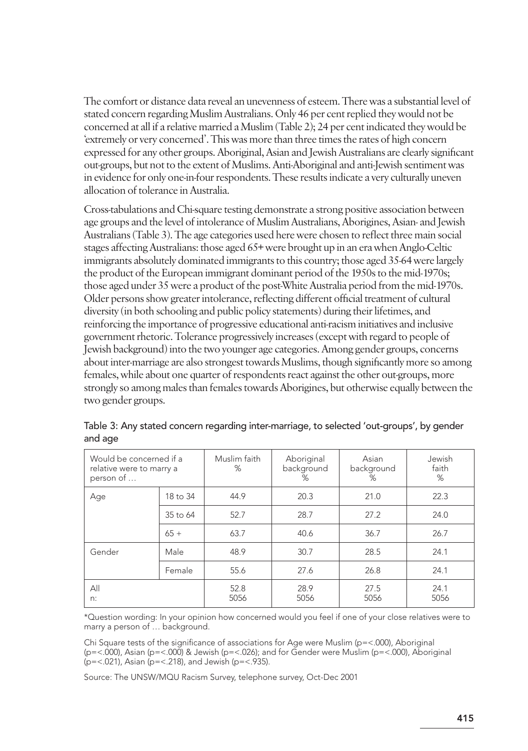The comfort or distance data reveal an unevenness of esteem. There was a substantial level of stated concern regarding Muslim Australians. Only 46 per cent replied they would not be concerned at all if a relative married a Muslim (Table 2); 24 per cent indicated they would be 'extremely or very concerned'. This was more than three times the rates of high concern expressed for any other groups. Aboriginal, Asian and Jewish Australians are clearly significant out-groups, but not to the extent of Muslims. Anti-Aboriginal and anti-Jewish sentiment was in evidence for only one-in-four respondents. These results indicate a very culturally uneven allocation of tolerance in Australia.

Cross-tabulations and Chi-square testing demonstrate a strong positive association between age groups and the level of intolerance of Muslim Australians, Aborigines, Asian- and Jewish Australians (Table 3). The age categories used here were chosen to reflect three main social stages affecting Australians: those aged 65+ were brought up in an era when Anglo-Celtic immigrants absolutely dominated immigrants to this country; those aged 35-64 were largely the product of the European immigrant dominant period of the 1950s to the mid-1970s; those aged under 35 were a product of the post-White Australia period from the mid-1970s. Older persons show greater intolerance, reflecting different official treatment of cultural diversity (in both schooling and public policy statements) during their lifetimes, and reinforcing the importance of progressive educational anti-racism initiatives and inclusive government rhetoric. Tolerance progressively increases (except with regard to people of Jewish background) into the two younger age categories. Among gender groups, concerns about inter-marriage are also strongest towards Muslims, though significantly more so among females, while about one quarter of respondents react against the other out-groups, more strongly so among males than females towards Aborigines, but otherwise equally between the two gender groups.

| Would be concerned if a<br>relative were to marry a<br>person of |          | Muslim faith<br>% | Aboriginal<br>background<br>% | Asian<br>background<br>% | Jewish<br>faith<br>% |
|------------------------------------------------------------------|----------|-------------------|-------------------------------|--------------------------|----------------------|
| Age                                                              | 18 to 34 | 44.9              | 20.3                          | 21.0                     | 22.3                 |
|                                                                  | 35 to 64 | 52.7              | 28.7                          | 27.2                     | 24.0                 |
|                                                                  | $65+$    | 63.7              | 40.6                          | 36.7                     | 26.7                 |
| Gender                                                           | Male     | 48.9              | 30.7                          | 28.5                     | 24.1                 |
|                                                                  | Female   | 55.6              | 27.6                          | 26.8                     | 24.1                 |
| All<br>n:                                                        |          | 52.8<br>5056      | 28.9<br>5056                  | 27.5<br>5056             | 24.1<br>5056         |

Table 3: Any stated concern regarding inter-marriage, to selected 'out-groups', by gender and age

\*Question wording: In your opinion how concerned would you feel if one of your close relatives were to marry a person of … background.

Chi Square tests of the significance of associations for Age were Muslim (p=<.000), Aboriginal (p=<.000), Asian (p=<.000) & Jewish (p=<.026); and for Gender were Muslim (p=<.000), Aboriginal (p=<.021), Asian (p=<.218), and Jewish (p=<.935).

Source: The UNSW/MQU Racism Survey, telephone survey, Oct-Dec 2001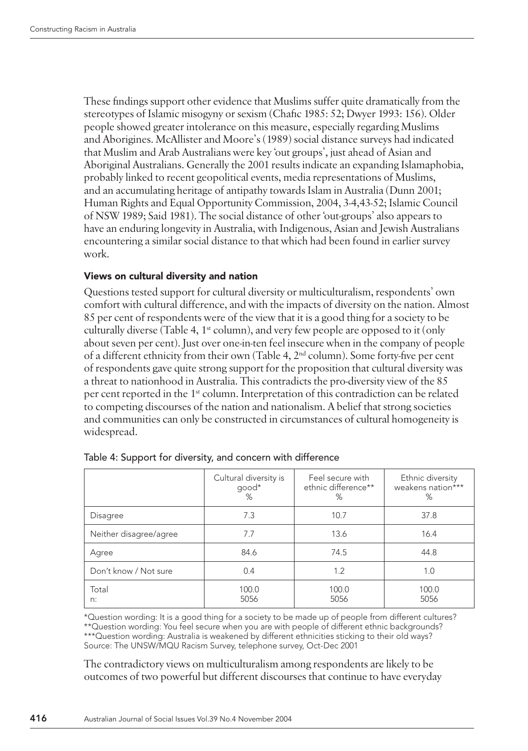These findings support other evidence that Muslims suffer quite dramatically from the stereotypes of Islamic misogyny or sexism (Chafic 1985: 52; Dwyer 1993: 156). Older people showed greater intolerance on this measure, especially regarding Muslims and Aborigines. McAllister and Moore's (1989) social distance surveys had indicated that Muslim and Arab Australians were key 'out groups', just ahead of Asian and Aboriginal Australians. Generally the 2001 results indicate an expanding Islamaphobia, probably linked to recent geopolitical events, media representations of Muslims, and an accumulating heritage of antipathy towards Islam in Australia (Dunn 2001; Human Rights and Equal Opportunity Commission, 2004, 3-4,43-52; Islamic Council of NSW 1989; Said 1981). The social distance of other 'out-groups' also appears to have an enduring longevity in Australia, with Indigenous, Asian and Jewish Australians encountering a similar social distance to that which had been found in earlier survey work.

#### Views on cultural diversity and nation

Questions tested support for cultural diversity or multiculturalism, respondents' own comfort with cultural difference, and with the impacts of diversity on the nation. Almost 85 per cent of respondents were of the view that it is a good thing for a society to be culturally diverse (Table 4,  $1<sup>st</sup>$  column), and very few people are opposed to it (only about seven per cent). Just over one-in-ten feel insecure when in the company of people of a different ethnicity from their own (Table 4,  $2<sup>nd</sup>$  column). Some forty-five per cent of respondents gave quite strong support for the proposition that cultural diversity was a threat to nationhood in Australia. This contradicts the pro-diversity view of the 85 per cent reported in the 1st column. Interpretation of this contradiction can be related to competing discourses of the nation and nationalism. A belief that strong societies and communities can only be constructed in circumstances of cultural homogeneity is widespread.

|                        | Cultural diversity is<br>good*<br>% | Feel secure with<br>ethnic difference**<br>% | Ethnic diversity<br>weakens nation***<br>℅ |
|------------------------|-------------------------------------|----------------------------------------------|--------------------------------------------|
| <b>Disagree</b>        | 7.3                                 | 10.7                                         | 37.8                                       |
| Neither disagree/agree | 7.7                                 | 13.6                                         | 16.4                                       |
| Agree                  | 84.6                                | 74.5                                         | 44.8                                       |
| Don't know / Not sure  | 0.4                                 | 1.2                                          | 1.0                                        |
| Total<br>n:            | 100.0<br>5056                       | 100.0<br>5056                                | 100.0<br>5056                              |

Table 4: Support for diversity, and concern with difference

\*Question wording: It is a good thing for a society to be made up of people from different cultures? \*\*Question wording: You feel secure when you are with people of different ethnic backgrounds? \*\*\*Question wording: Australia is weakened by different ethnicities sticking to their old ways? Source: The UNSW/MQU Racism Survey, telephone survey, Oct-Dec 2001

The contradictory views on multiculturalism among respondents are likely to be outcomes of two powerful but different discourses that continue to have everyday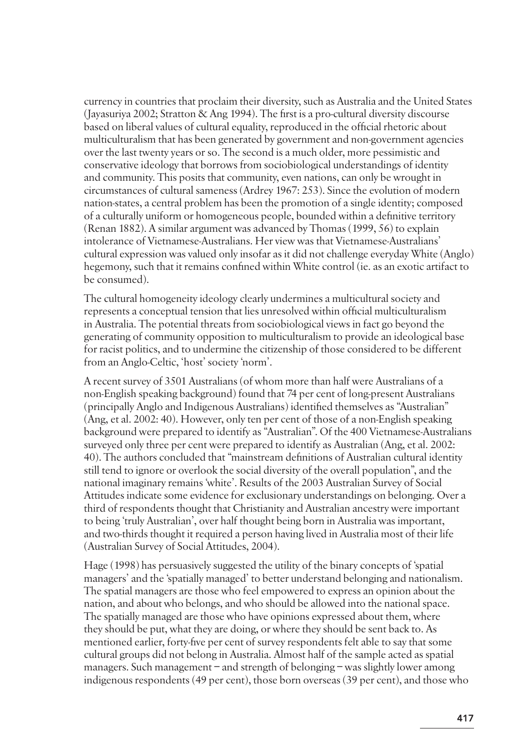currency in countries that proclaim their diversity, such as Australia and the United States (Jayasuriya 2002; Stratton & Ang 1994). The first is a pro-cultural diversity discourse based on liberal values of cultural equality, reproduced in the official rhetoric about multiculturalism that has been generated by government and non-government agencies over the last twenty years or so. The second is a much older, more pessimistic and conservative ideology that borrows from sociobiological understandings of identity and community. This posits that community, even nations, can only be wrought in circumstances of cultural sameness (Ardrey 1967: 253). Since the evolution of modern nation-states, a central problem has been the promotion of a single identity; composed of a culturally uniform or homogeneous people, bounded within a definitive territory (Renan 1882). A similar argument was advanced by Thomas (1999, 56) to explain intolerance of Vietnamese-Australians. Her view was that Vietnamese-Australians' cultural expression was valued only insofar as it did not challenge everyday White (Anglo) hegemony, such that it remains confined within White control (ie. as an exotic artifact to be consumed).

The cultural homogeneity ideology clearly undermines a multicultural society and represents a conceptual tension that lies unresolved within official multiculturalism in Australia. The potential threats from sociobiological views in fact go beyond the generating of community opposition to multiculturalism to provide an ideological base for racist politics, and to undermine the citizenship of those considered to be different from an Anglo-Celtic, 'host' society 'norm'.

A recent survey of 3501 Australians (of whom more than half were Australians of a non-English speaking background) found that 74 per cent of long-present Australians (principally Anglo and Indigenous Australians) identified themselves as "Australian" (Ang, et al. 2002: 40). However, only ten per cent of those of a non-English speaking background were prepared to identify as "Australian". Of the 400 Vietnamese-Australians surveyed only three per cent were prepared to identify as Australian (Ang, et al. 2002: 40). The authors concluded that "mainstream definitions of Australian cultural identity still tend to ignore or overlook the social diversity of the overall population", and the national imaginary remains 'white'. Results of the 2003 Australian Survey of Social Attitudes indicate some evidence for exclusionary understandings on belonging. Over a third of respondents thought that Christianity and Australian ancestry were important to being 'truly Australian', over half thought being born in Australia was important, and two-thirds thought it required a person having lived in Australia most of their life (Australian Survey of Social Attitudes, 2004).

Hage (1998) has persuasively suggested the utility of the binary concepts of 'spatial managers' and the 'spatially managed' to better understand belonging and nationalism. The spatial managers are those who feel empowered to express an opinion about the nation, and about who belongs, and who should be allowed into the national space. The spatially managed are those who have opinions expressed about them, where they should be put, what they are doing, or where they should be sent back to. As mentioned earlier, forty-five per cent of survey respondents felt able to say that some cultural groups did not belong in Australia. Almost half of the sample acted as spatial managers. Such management – and strength of belonging – was slightly lower among indigenous respondents (49 per cent), those born overseas (39 per cent), and those who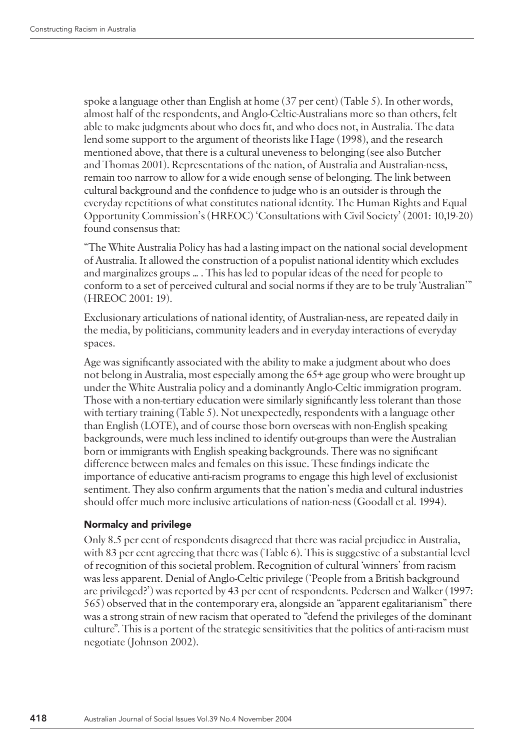spoke a language other than English at home (37 per cent) (Table 5). In other words, almost half of the respondents, and Anglo-Celtic-Australians more so than others, felt able to make judgments about who does fit, and who does not, in Australia. The data lend some support to the argument of theorists like Hage (1998), and the research mentioned above, that there is a cultural uneveness to belonging (see also Butcher and Thomas 2001). Representations of the nation, of Australia and Australian-ness, remain too narrow to allow for a wide enough sense of belonging. The link between cultural background and the confidence to judge who is an outsider is through the everyday repetitions of what constitutes national identity. The Human Rights and Equal Opportunity Commission's (HREOC) 'Consultations with Civil Society' (2001: 10,19-20) found consensus that:

"The White Australia Policy has had a lasting impact on the national social development of Australia. It allowed the construction of a populist national identity which excludes and marginalizes groups … . This has led to popular ideas of the need for people to conform to a set of perceived cultural and social norms if they are to be truly 'Australian'" (HREOC 2001: 19).

Exclusionary articulations of national identity, of Australian-ness, are repeated daily in the media, by politicians, community leaders and in everyday interactions of everyday spaces.

Age was significantly associated with the ability to make a judgment about who does not belong in Australia, most especially among the 65+ age group who were brought up under the White Australia policy and a dominantly Anglo-Celtic immigration program. Those with a non-tertiary education were similarly significantly less tolerant than those with tertiary training (Table 5). Not unexpectedly, respondents with a language other than English (LOTE), and of course those born overseas with non-English speaking backgrounds, were much less inclined to identify out-groups than were the Australian born or immigrants with English speaking backgrounds. There was no significant difference between males and females on this issue. These findings indicate the importance of educative anti-racism programs to engage this high level of exclusionist sentiment. They also confirm arguments that the nation's media and cultural industries should offer much more inclusive articulations of nation-ness (Goodall et al. 1994).

#### Normalcy and privilege

Only 8.5 per cent of respondents disagreed that there was racial prejudice in Australia, with 83 per cent agreeing that there was (Table 6). This is suggestive of a substantial level of recognition of this societal problem. Recognition of cultural 'winners' from racism was less apparent. Denial of Anglo-Celtic privilege ('People from a British background are privileged?') was reported by 43 per cent of respondents. Pedersen and Walker (1997: 565) observed that in the contemporary era, alongside an "apparent egalitarianism" there was a strong strain of new racism that operated to "defend the privileges of the dominant culture". This is a portent of the strategic sensitivities that the politics of anti-racism must negotiate (Johnson 2002).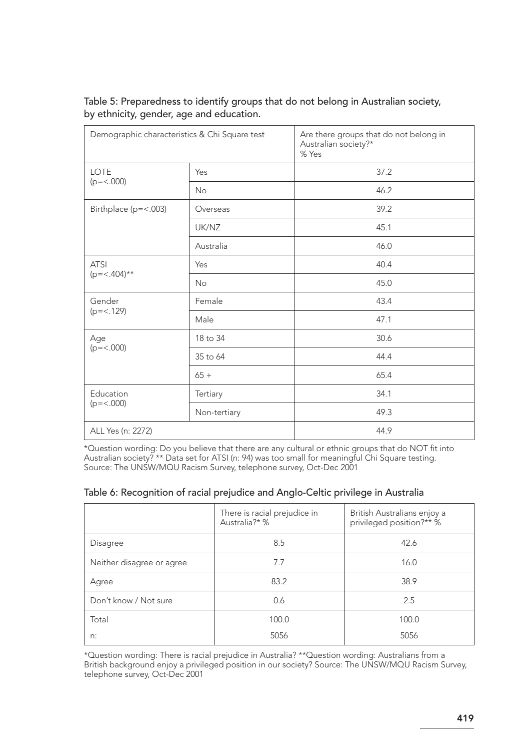| Demographic characteristics & Chi Square test |              | Are there groups that do not belong in<br>Australian society?*<br>% Yes |
|-----------------------------------------------|--------------|-------------------------------------------------------------------------|
| <b>LOTE</b>                                   | Yes          | 37.2                                                                    |
| $(p = < .000)$                                | No           | 46.2                                                                    |
| Birthplace (p=<.003)                          | Overseas     | 39.2                                                                    |
|                                               | UK/NZ        | 45.1                                                                    |
|                                               | Australia    | 46.0                                                                    |
| <b>ATSI</b>                                   | Yes          | 40.4                                                                    |
| $(p = < .404)$ **                             | <b>No</b>    | 45.0                                                                    |
| Gender                                        | Female       | 43.4                                                                    |
| $(p = < .129)$                                | Male         | 47.1                                                                    |
| Age                                           | 18 to 34     | 30.6                                                                    |
| $(p = < .000)$                                | $35$ to $64$ | 44.4                                                                    |
|                                               | $65+$        | 65.4                                                                    |
| Education                                     | Tertiary     | 34.1                                                                    |
| $(p = < .000)$                                | Non-tertiary | 49.3                                                                    |
| ALL Yes (n: 2272)                             |              | 44.9                                                                    |

## Table 5: Preparedness to identify groups that do not belong in Australian society, by ethnicity, gender, age and education.

\*Question wording: Do you believe that there are any cultural or ethnic groups that do NOT fit into Australian society? \*\* Data set for ATSI (n: 94) was too small for meaningful Chi Square testing. Source: The UNSW/MQU Racism Survey, telephone survey, Oct-Dec 2001

#### Table 6: Recognition of racial prejudice and Anglo-Celtic privilege in Australia

|                           | There is racial prejudice in<br>Australia?* % | British Australians enjoy a<br>privileged position?** % |
|---------------------------|-----------------------------------------------|---------------------------------------------------------|
| <b>Disagree</b>           | 8.5                                           | 42.6                                                    |
| Neither disagree or agree | 7.7                                           | 16.0                                                    |
| Agree                     | 83.2                                          | 38.9                                                    |
| Don't know / Not sure     | 0.6                                           | 2.5                                                     |
| Total                     | 100.0                                         | 100.0                                                   |
| n:                        | 5056                                          | 5056                                                    |

\*Question wording: There is racial prejudice in Australia? \*\*Question wording: Australians from a British background enjoy a privileged position in our society? Source: The UNSW/MQU Racism Survey, telephone survey, Oct-Dec 2001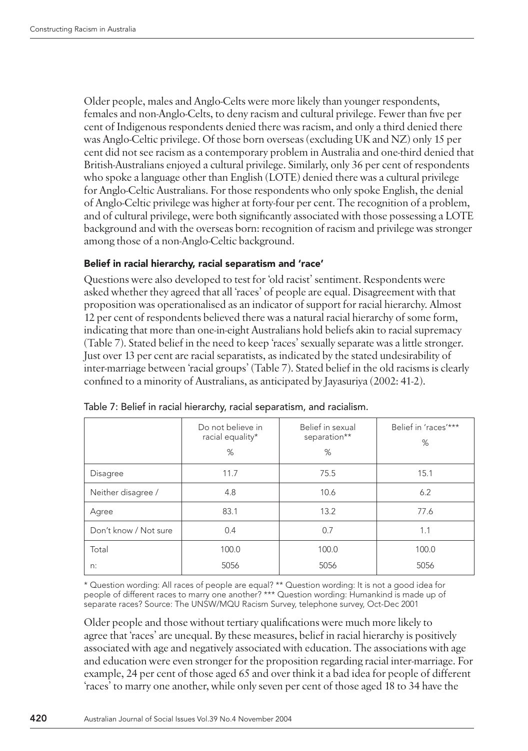Older people, males and Anglo-Celts were more likely than younger respondents, females and non-Anglo-Celts, to deny racism and cultural privilege. Fewer than five per cent of Indigenous respondents denied there was racism, and only a third denied there was Anglo-Celtic privilege. Of those born overseas (excluding UK and NZ) only 15 per cent did not see racism as a contemporary problem in Australia and one-third denied that British-Australians enjoyed a cultural privilege. Similarly, only 36 per cent of respondents who spoke a language other than English (LOTE) denied there was a cultural privilege for Anglo-Celtic Australians. For those respondents who only spoke English, the denial of Anglo-Celtic privilege was higher at forty-four per cent. The recognition of a problem, and of cultural privilege, were both significantly associated with those possessing a LOTE background and with the overseas born: recognition of racism and privilege was stronger among those of a non-Anglo-Celtic background.

#### Belief in racial hierarchy, racial separatism and 'race'

Questions were also developed to test for 'old racist' sentiment. Respondents were asked whether they agreed that all 'races' of people are equal. Disagreement with that proposition was operationalised as an indicator of support for racial hierarchy. Almost 12 per cent of respondents believed there was a natural racial hierarchy of some form, indicating that more than one-in-eight Australians hold beliefs akin to racial supremacy (Table 7). Stated belief in the need to keep 'races' sexually separate was a little stronger. Just over 13 per cent are racial separatists, as indicated by the stated undesirability of inter-marriage between 'racial groups' (Table 7). Stated belief in the old racisms is clearly confined to a minority of Australians, as anticipated by Jayasuriya (2002: 41-2).

|                       | Do not believe in<br>racial equality*<br>% | Belief in sexual<br>separation**<br>% | Belief in 'races'***<br>% |
|-----------------------|--------------------------------------------|---------------------------------------|---------------------------|
| <b>Disagree</b>       | 11.7                                       | 75.5                                  | 15.1                      |
| Neither disagree /    | 4.8                                        | 10.6                                  | 6.2                       |
| Agree                 | 83.1                                       | 13.2                                  | 77.6                      |
| Don't know / Not sure | 0.4                                        | 0.7                                   | 1.1                       |
| Total                 | 100.0                                      | 100.0                                 | 100.0                     |
| n:                    | 5056                                       | 5056                                  | 5056                      |

Table 7: Belief in racial hierarchy, racial separatism, and racialism.

\* Question wording: All races of people are equal? \*\* Question wording: It is not a good idea for people of different races to marry one another? \*\*\* Question wording: Humankind is made up of separate races? Source: The UNSW/MQU Racism Survey, telephone survey, Oct-Dec 2001

Older people and those without tertiary qualifications were much more likely to agree that 'races' are unequal. By these measures, belief in racial hierarchy is positively associated with age and negatively associated with education. The associations with age and education were even stronger for the proposition regarding racial inter-marriage. For example, 24 per cent of those aged 65 and over think it a bad idea for people of different 'races' to marry one another, while only seven per cent of those aged 18 to 34 have the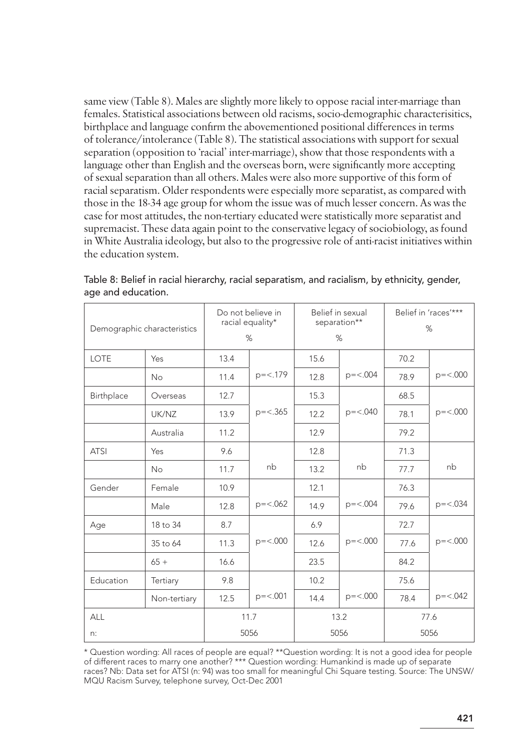same view (Table 8). Males are slightly more likely to oppose racial inter-marriage than females. Statistical associations between old racisms, socio-demographic characterisitics, birthplace and language confirm the abovementioned positional differences in terms of tolerance/intolerance (Table 8). The statistical associations with support for sexual separation (opposition to 'racial' inter-marriage), show that those respondents with a language other than English and the overseas born, were significantly more accepting of sexual separation than all others. Males were also more supportive of this form of racial separatism. Older respondents were especially more separatist, as compared with those in the 18-34 age group for whom the issue was of much lesser concern. As was the case for most attitudes, the non-tertiary educated were statistically more separatist and supremacist. These data again point to the conservative legacy of sociobiology, as found in White Australia ideology, but also to the progressive role of anti-racist initiatives within the education system.

| Demographic characteristics |              | Do not believe in<br>racial equality*<br>% |              | Belief in sexual<br>separation**<br>% |             | Belief in 'races'***<br>% |              |
|-----------------------------|--------------|--------------------------------------------|--------------|---------------------------------------|-------------|---------------------------|--------------|
|                             |              |                                            |              |                                       |             |                           |              |
| <b>LOTE</b>                 | Yes          | 13.4                                       |              | 15.6                                  |             | 70.2                      |              |
|                             | No           | 11.4                                       | $p = < .179$ | 12.8                                  | $p = 0.004$ | 78.9                      | $p = 0.000$  |
| Birthplace                  | Overseas     | 12.7                                       |              | 15.3                                  |             | 68.5                      |              |
|                             | UK/NZ        | 13.9                                       | $p = < .365$ | 12.2                                  | $p = 5.040$ | 78.1                      | $p = 0.000$  |
|                             | Australia    | 11.2                                       |              | 12.9                                  |             | 79.2                      |              |
| <b>ATSI</b>                 | Yes          | 9.6                                        |              | 12.8                                  |             | 71.3                      |              |
|                             | No           | 11.7                                       | nb           | 13.2                                  | nb          | 77.7                      | nb           |
| Gender                      | Female       | 10.9                                       |              | 12.1                                  |             | 76.3                      |              |
|                             | Male         | 12.8                                       | $p = 5.062$  | 14.9                                  | $p = 5.004$ | 79.6                      | $p = < .034$ |
| Age                         | 18 to 34     | 8.7                                        |              | 6.9                                   |             | 72.7                      |              |
|                             | 35 to 64     | 11.3                                       | $p = 0.000$  | 12.6                                  | $p = 0.000$ | 77.6                      | $p = 0.000$  |
|                             | $65 +$       | 16.6                                       |              | 23.5                                  |             | 84.2                      |              |
| Education                   | Tertiary     | 9.8                                        |              | 10.2                                  |             | 75.6                      |              |
|                             | Non-tertiary | 12.5                                       | $p = 0.001$  | 14.4                                  | $p = 0.000$ | 78.4                      | $p = < .042$ |
| <b>ALL</b>                  |              |                                            | 11.7         |                                       | 13.2        |                           | 77.6         |
| n:                          |              |                                            | 5056         |                                       | 5056        |                           | 5056         |

Table 8: Belief in racial hierarchy, racial separatism, and racialism, by ethnicity, gender, age and education.

\* Question wording: All races of people are equal? \*\*Question wording: It is not a good idea for people of different races to marry one another? \*\*\* Question wording: Humankind is made up of separate races? Nb: Data set for ATSI (n: 94) was too small for meaningful Chi Square testing. Source: The UNSW/ MQU Racism Survey, telephone survey, Oct-Dec 2001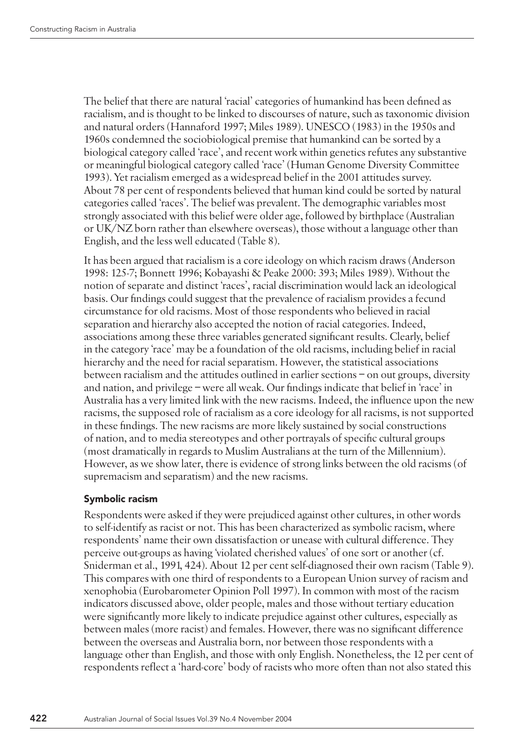The belief that there are natural 'racial' categories of humankind has been defined as racialism, and is thought to be linked to discourses of nature, such as taxonomic division and natural orders (Hannaford 1997; Miles 1989). UNESCO (1983) in the 1950s and 1960s condemned the sociobiological premise that humankind can be sorted by a biological category called 'race', and recent work within genetics refutes any substantive or meaningful biological category called 'race' (Human Genome Diversity Committee 1993). Yet racialism emerged as a widespread belief in the 2001 attitudes survey. About 78 per cent of respondents believed that human kind could be sorted by natural categories called 'races'. The belief was prevalent. The demographic variables most strongly associated with this belief were older age, followed by birthplace (Australian or UK/NZ born rather than elsewhere overseas), those without a language other than English, and the less well educated (Table 8).

It has been argued that racialism is a core ideology on which racism draws (Anderson 1998: 125-7; Bonnett 1996; Kobayashi & Peake 2000: 393; Miles 1989). Without the notion of separate and distinct 'races', racial discrimination would lack an ideological basis. Our findings could suggest that the prevalence of racialism provides a fecund circumstance for old racisms. Most of those respondents who believed in racial separation and hierarchy also accepted the notion of racial categories. Indeed, associations among these three variables generated significant results. Clearly, belief in the category 'race' may be a foundation of the old racisms, including belief in racial hierarchy and the need for racial separatism. However, the statistical associations between racialism and the attitudes outlined in earlier sections – on out groups, diversity and nation, and privilege – were all weak. Our findings indicate that belief in 'race' in Australia has a very limited link with the new racisms. Indeed, the influence upon the new racisms, the supposed role of racialism as a core ideology for all racisms, is not supported in these findings. The new racisms are more likely sustained by social constructions of nation, and to media stereotypes and other portrayals of specific cultural groups (most dramatically in regards to Muslim Australians at the turn of the Millennium). However, as we show later, there is evidence of strong links between the old racisms (of supremacism and separatism) and the new racisms.

#### Symbolic racism

Respondents were asked if they were prejudiced against other cultures, in other words to self-identify as racist or not. This has been characterized as symbolic racism, where respondents' name their own dissatisfaction or unease with cultural difference. They perceive out-groups as having 'violated cherished values' of one sort or another (cf. Sniderman et al., 1991, 424). About 12 per cent self-diagnosed their own racism (Table 9). This compares with one third of respondents to a European Union survey of racism and xenophobia (Eurobarometer Opinion Poll 1997). In common with most of the racism indicators discussed above, older people, males and those without tertiary education were significantly more likely to indicate prejudice against other cultures, especially as between males (more racist) and females. However, there was no significant difference between the overseas and Australia born, nor between those respondents with a language other than English, and those with only English. Nonetheless, the 12 per cent of respondents reflect a 'hard-core' body of racists who more often than not also stated this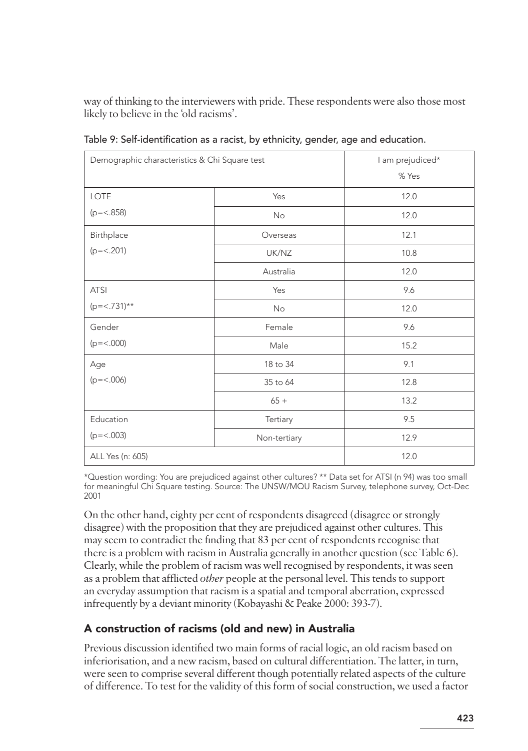way of thinking to the interviewers with pride. These respondents were also those most likely to believe in the 'old racisms'.

| Demographic characteristics & Chi Square test | I am prejudiced*<br>% Yes |      |
|-----------------------------------------------|---------------------------|------|
| <b>LOTE</b>                                   | Yes                       | 12.0 |
| $(p = < .858)$                                | <b>No</b>                 | 12.0 |
| Birthplace                                    | Overseas                  | 12.1 |
| $(p = < .201)$                                | UK/NZ                     | 10.8 |
|                                               | Australia                 | 12.0 |
| <b>ATSI</b>                                   | Yes                       | 9.6  |
| $(p = < .731)$ **                             | No                        | 12.0 |
| Gender                                        | Female                    | 9.6  |
| $(p = < .000)$                                | Male                      | 15.2 |
| Age                                           | 18 to 34                  | 9.1  |
| $(p = < .006)$                                | 35 to 64                  | 12.8 |
|                                               | $65 +$                    | 13.2 |
| Education                                     | Tertiary                  | 9.5  |
| $(p = < .003)$                                | Non-tertiary              | 12.9 |
| ALL Yes (n: 605)                              |                           | 12.0 |

Table 9: Self-identification as a racist, by ethnicity, gender, age and education.

\*Question wording: You are prejudiced against other cultures? \*\* Data set for ATSI (n 94) was too small for meaningful Chi Square testing. Source: The UNSW/MQU Racism Survey, telephone survey, Oct-Dec 2001

On the other hand, eighty per cent of respondents disagreed (disagree or strongly disagree) with the proposition that they are prejudiced against other cultures. This may seem to contradict the finding that 83 per cent of respondents recognise that there is a problem with racism in Australia generally in another question (see Table 6). Clearly, while the problem of racism was well recognised by respondents, it was seen as a problem that afflicted other people at the personal level. This tends to support an everyday assumption that racism is a spatial and temporal aberration, expressed infrequently by a deviant minority (Kobayashi & Peake 2000: 393-7).

# A construction of racisms (old and new) in Australia

Previous discussion identified two main forms of racial logic, an old racism based on inferiorisation, and a new racism, based on cultural differentiation. The latter, in turn, were seen to comprise several different though potentially related aspects of the culture of difference. To test for the validity of this form of social construction, we used a factor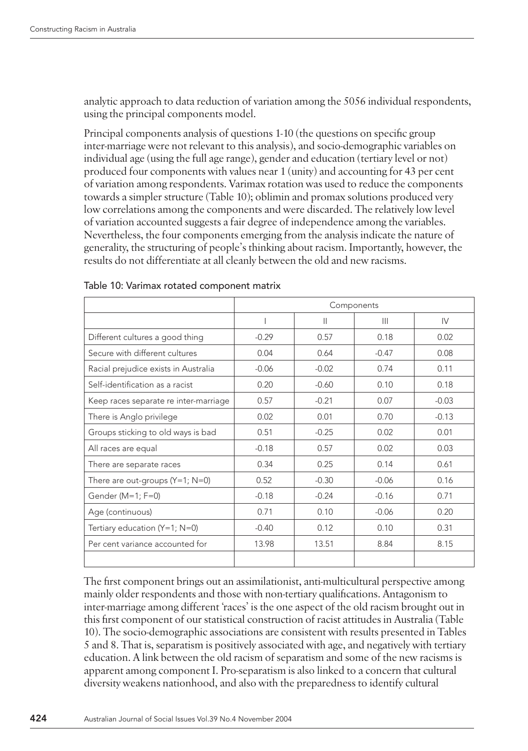analytic approach to data reduction of variation among the 5056 individual respondents, using the principal components model.

Principal components analysis of questions 1-10 (the questions on specific group inter-marriage were not relevant to this analysis), and socio-demographic variables on individual age (using the full age range), gender and education (tertiary level or not) produced four components with values near 1 (unity) and accounting for 43 per cent of variation among respondents. Varimax rotation was used to reduce the components towards a simpler structure (Table 10); oblimin and promax solutions produced very low correlations among the components and were discarded. The relatively low level of variation accounted suggests a fair degree of independence among the variables. Nevertheless, the four components emerging from the analysis indicate the nature of generality, the structuring of people's thinking about racism. Importantly, however, the results do not differentiate at all cleanly between the old and new racisms.

|                                       | Components |               |                |         |
|---------------------------------------|------------|---------------|----------------|---------|
|                                       |            | $\mathbf{  }$ | $\mathbf{III}$ | IV      |
| Different cultures a good thing       | $-0.29$    | 0.57          | 0.18           | 0.02    |
| Secure with different cultures        | 0.04       | 0.64          | $-0.47$        | 0.08    |
| Racial prejudice exists in Australia  | $-0.06$    | $-0.02$       | 0.74           | 0.11    |
| Self-identification as a racist       | 0.20       | $-0.60$       | 0.10           | 0.18    |
| Keep races separate re inter-marriage | 0.57       | $-0.21$       | 0.07           | $-0.03$ |
| There is Anglo privilege              | 0.02       | 0.01          | 0.70           | $-0.13$ |
| Groups sticking to old ways is bad    | 0.51       | $-0.25$       | 0.02           | 0.01    |
| All races are equal                   | $-0.18$    | 0.57          | 0.02           | 0.03    |
| There are separate races              | 0.34       | 0.25          | 0.14           | 0.61    |
| There are out-groups $(Y=1; N=0)$     | 0.52       | $-0.30$       | $-0.06$        | 0.16    |
| Gender ( $M=1$ ; $F=0$ )              | $-0.18$    | $-0.24$       | $-0.16$        | 0.71    |
| Age (continuous)                      | 0.71       | 0.10          | $-0.06$        | 0.20    |
| Tertiary education (Y=1; N=0)         | $-0.40$    | 0.12          | 0.10           | 0.31    |
| Per cent variance accounted for       | 13.98      | 13.51         | 8.84           | 8.15    |
|                                       |            |               |                |         |

Table 10: Varimax rotated component matrix

The first component brings out an assimilationist, anti-multicultural perspective among mainly older respondents and those with non-tertiary qualifications. Antagonism to inter-marriage among different 'races' is the one aspect of the old racism brought out in this first component of our statistical construction of racist attitudes in Australia (Table 10). The socio-demographic associations are consistent with results presented in Tables 5 and 8. That is, separatism is positively associated with age, and negatively with tertiary education. A link between the old racism of separatism and some of the new racisms is apparent among component I. Pro-separatism is also linked to a concern that cultural diversity weakens nationhood, and also with the preparedness to identify cultural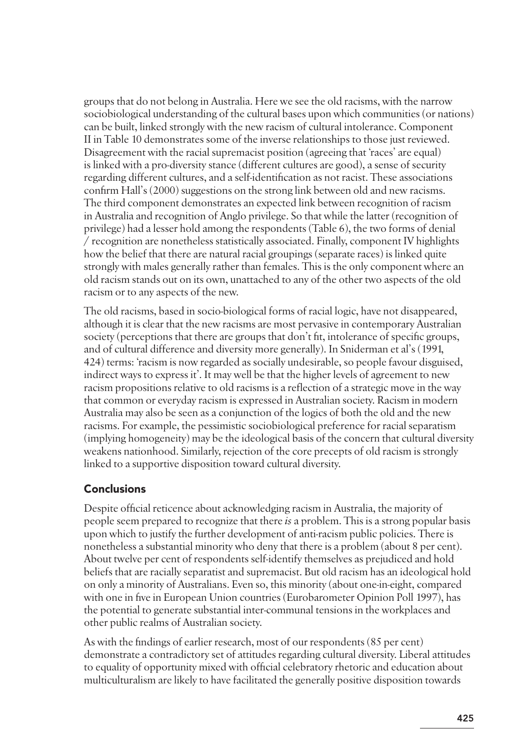groups that do not belong in Australia. Here we see the old racisms, with the narrow sociobiological understanding of the cultural bases upon which communities (or nations) can be built, linked strongly with the new racism of cultural intolerance. Component II in Table 10 demonstrates some of the inverse relationships to those just reviewed. Disagreement with the racial supremacist position (agreeing that 'races' are equal) is linked with a pro-diversity stance (different cultures are good), a sense of security regarding different cultures, and a self-identification as not racist. These associations confirm Hall's (2000) suggestions on the strong link between old and new racisms. The third component demonstrates an expected link between recognition of racism in Australia and recognition of Anglo privilege. So that while the latter (recognition of privilege) had a lesser hold among the respondents (Table 6), the two forms of denial / recognition are nonetheless statistically associated. Finally, component IV highlights how the belief that there are natural racial groupings (separate races) is linked quite strongly with males generally rather than females. This is the only component where an old racism stands out on its own, unattached to any of the other two aspects of the old racism or to any aspects of the new.

The old racisms, based in socio-biological forms of racial logic, have not disappeared, although it is clear that the new racisms are most pervasive in contemporary Australian society (perceptions that there are groups that don't fit, intolerance of specific groups, and of cultural difference and diversity more generally). In Sniderman et al's (1991, 424) terms: 'racism is now regarded as socially undesirable, so people favour disguised, indirect ways to express it'. It may well be that the higher levels of agreement to new racism propositions relative to old racisms is a reflection of a strategic move in the way that common or everyday racism is expressed in Australian society. Racism in modern Australia may also be seen as a conjunction of the logics of both the old and the new racisms. For example, the pessimistic sociobiological preference for racial separatism (implying homogeneity) may be the ideological basis of the concern that cultural diversity weakens nationhood. Similarly, rejection of the core precepts of old racism is strongly linked to a supportive disposition toward cultural diversity.

# Conclusions

Despite official reticence about acknowledging racism in Australia, the majority of people seem prepared to recognize that there is a problem. This is a strong popular basis upon which to justify the further development of anti-racism public policies. There is nonetheless a substantial minority who deny that there is a problem (about 8 per cent). About twelve per cent of respondents self-identify themselves as prejudiced and hold beliefs that are racially separatist and supremacist. But old racism has an ideological hold on only a minority of Australians. Even so, this minority (about one-in-eight, compared with one in five in European Union countries (Eurobarometer Opinion Poll 1997), has the potential to generate substantial inter-communal tensions in the workplaces and other public realms of Australian society.

As with the findings of earlier research, most of our respondents (85 per cent) demonstrate a contradictory set of attitudes regarding cultural diversity. Liberal attitudes to equality of opportunity mixed with official celebratory rhetoric and education about multiculturalism are likely to have facilitated the generally positive disposition towards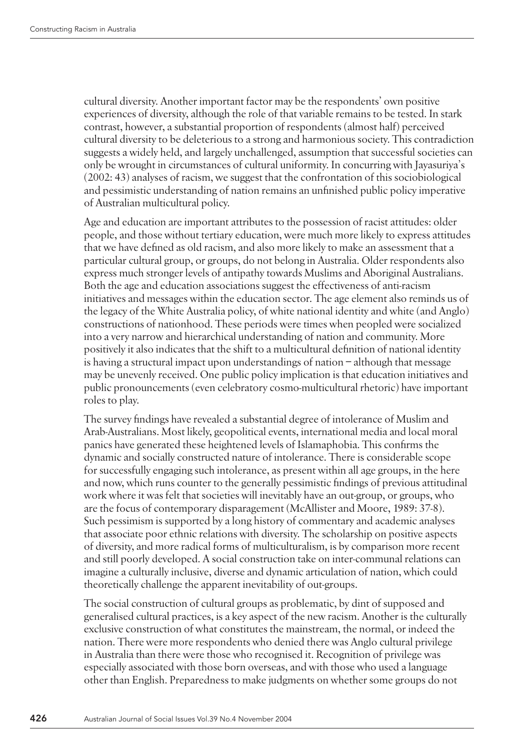cultural diversity. Another important factor may be the respondents' own positive experiences of diversity, although the role of that variable remains to be tested. In stark contrast, however, a substantial proportion of respondents (almost half) perceived cultural diversity to be deleterious to a strong and harmonious society. This contradiction suggests a widely held, and largely unchallenged, assumption that successful societies can only be wrought in circumstances of cultural uniformity. In concurring with Jayasuriya's (2002: 43) analyses of racism, we suggest that the confrontation of this sociobiological and pessimistic understanding of nation remains an unfinished public policy imperative of Australian multicultural policy.

Age and education are important attributes to the possession of racist attitudes: older people, and those without tertiary education, were much more likely to express attitudes that we have defined as old racism, and also more likely to make an assessment that a particular cultural group, or groups, do not belong in Australia. Older respondents also express much stronger levels of antipathy towards Muslims and Aboriginal Australians. Both the age and education associations suggest the effectiveness of anti-racism initiatives and messages within the education sector. The age element also reminds us of the legacy of the White Australia policy, of white national identity and white (and Anglo) constructions of nationhood. These periods were times when peopled were socialized into a very narrow and hierarchical understanding of nation and community. More positively it also indicates that the shift to a multicultural definition of national identity is having a structural impact upon understandings of nation – although that message may be unevenly received. One public policy implication is that education initiatives and public pronouncements (even celebratory cosmo-multicultural rhetoric) have important roles to play.

The survey findings have revealed a substantial degree of intolerance of Muslim and Arab-Australians. Most likely, geopolitical events, international media and local moral panics have generated these heightened levels of Islamaphobia. This confirms the dynamic and socially constructed nature of intolerance. There is considerable scope for successfully engaging such intolerance, as present within all age groups, in the here and now, which runs counter to the generally pessimistic findings of previous attitudinal work where it was felt that societies will inevitably have an out-group, or groups, who are the focus of contemporary disparagement (McAllister and Moore, 1989: 37-8). Such pessimism is supported by a long history of commentary and academic analyses that associate poor ethnic relations with diversity. The scholarship on positive aspects of diversity, and more radical forms of multiculturalism, is by comparison more recent and still poorly developed. A social construction take on inter-communal relations can imagine a culturally inclusive, diverse and dynamic articulation of nation, which could theoretically challenge the apparent inevitability of out-groups.

The social construction of cultural groups as problematic, by dint of supposed and generalised cultural practices, is a key aspect of the new racism. Another is the culturally exclusive construction of what constitutes the mainstream, the normal, or indeed the nation. There were more respondents who denied there was Anglo cultural privilege in Australia than there were those who recognised it. Recognition of privilege was especially associated with those born overseas, and with those who used a language other than English. Preparedness to make judgments on whether some groups do not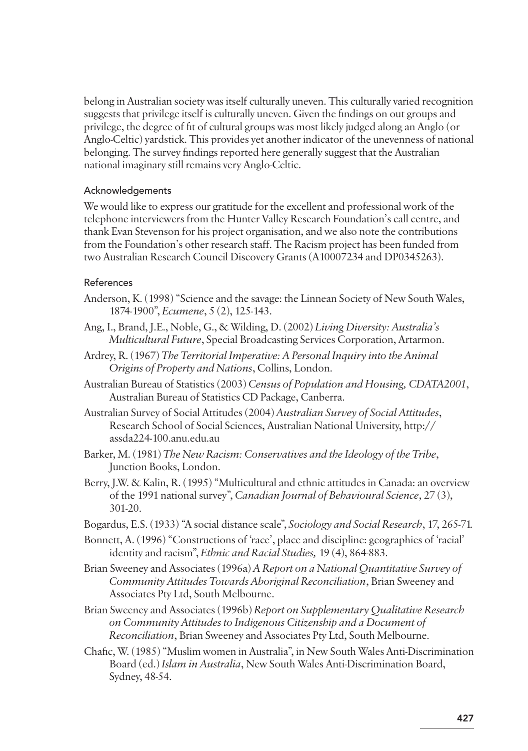belong in Australian society was itself culturally uneven. This culturally varied recognition suggests that privilege itself is culturally uneven. Given the findings on out groups and privilege, the degree of fit of cultural groups was most likely judged along an Anglo (or Anglo-Celtic) yardstick. This provides yet another indicator of the unevenness of national belonging. The survey findings reported here generally suggest that the Australian national imaginary still remains very Anglo-Celtic.

#### Acknowledgements

We would like to express our gratitude for the excellent and professional work of the telephone interviewers from the Hunter Valley Research Foundation's call centre, and thank Evan Stevenson for his project organisation, and we also note the contributions from the Foundation's other research staff. The Racism project has been funded from two Australian Research Council Discovery Grants (A10007234 and DP0345263).

#### References

- Anderson, K. (1998) "Science and the savage: the Linnean Society of New South Wales, 1874-1900", Ecumene, 5 (2), 125-143.
- Ang, I., Brand, J.E., Noble, G., & Wilding, D. (2002) Living Diversity: Australia's Multicultural Future, Special Broadcasting Services Corporation, Artarmon.
- Ardrey, R. (1967) The Territorial Imperative: A Personal Inquiry into the Animal Origins of Property and Nations, Collins, London.
- Australian Bureau of Statistics (2003) Census of Population and Housing, CDATA2001, Australian Bureau of Statistics CD Package, Canberra.
- Australian Survey of Social Attitudes (2004) Australian Survey of Social Attitudes, Research School of Social Sciences, Australian National University, http:// assda224-100.anu.edu.au
- Barker, M. (1981) The New Racism: Conservatives and the Ideology of the Tribe, Junction Books, London.
- Berry, J.W. & Kalin, R. (1995) "Multicultural and ethnic attitudes in Canada: an overview of the 1991 national survey", Canadian Journal of Behavioural Science, 27 (3), 301-20.
- Bogardus, E.S. (1933) "A social distance scale", Sociology and Social Research, 17, 265-71.
- Bonnett, A. (1996) "Constructions of 'race', place and discipline: geographies of 'racial' identity and racism", Ethnic and Racial Studies, 19 (4), 864-883.
- Brian Sweeney and Associates (1996a) A Report on a National Quantitative Survey of Community Attitudes Towards Aboriginal Reconciliation, Brian Sweeney and Associates Pty Ltd, South Melbourne.
- Brian Sweeney and Associates (1996b) Report on Supplementary Qualitative Research on Community Attitudes to Indigenous Citizenship and a Document of Reconciliation, Brian Sweeney and Associates Pty Ltd, South Melbourne.
- Chafic, W. (1985) "Muslim women in Australia", in New South Wales Anti-Discrimination Board (ed.) Islam in Australia, New South Wales Anti-Discrimination Board, Sydney, 48-54.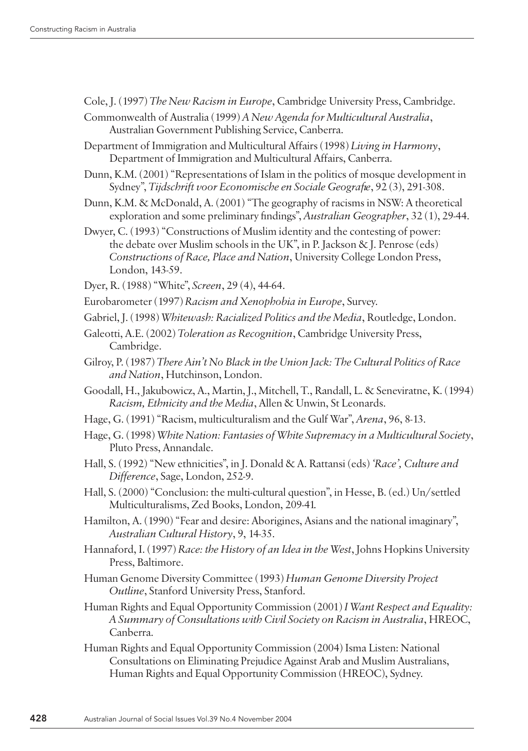- Cole, J. (1997) The New Racism in Europe, Cambridge University Press, Cambridge.
- Commonwealth of Australia (1999) A New Agenda for Multicultural Australia, Australian Government Publishing Service, Canberra.
- Department of Immigration and Multicultural Affairs (1998) Living in Harmony, Department of Immigration and Multicultural Affairs, Canberra.
- Dunn, K.M. (2001) "Representations of Islam in the politics of mosque development in Sydney", Tijdschrift voor Economische en Sociale Geografie, 92 (3), 291-308.
- Dunn, K.M. & McDonald, A. (2001) "The geography of racisms in NSW: A theoretical exploration and some preliminary findings", Australian Geographer, 32 (1), 29-44.
- Dwyer, C. (1993) "Constructions of Muslim identity and the contesting of power: the debate over Muslim schools in the UK", in P. Jackson & J. Penrose (eds) Constructions of Race, Place and Nation, University College London Press, London, 143-59.
- Dyer, R. (1988) "White", Screen, 29 (4), 44-64.
- Eurobarometer (1997) Racism and Xenophobia in Europe, Survey.
- Gabriel, J. (1998) Whitewash: Racialized Politics and the Media, Routledge, London.
- Galeotti, A.E. (2002) Toleration as Recognition, Cambridge University Press, Cambridge.
- Gilroy, P. (1987) There Ain't No Black in the Union Jack: The Cultural Politics of Race and Nation, Hutchinson, London.
- Goodall, H., Jakubowicz, A., Martin, J., Mitchell, T., Randall, L. & Seneviratne, K. (1994) Racism, Ethnicity and the Media, Allen & Unwin, St Leonards.
- Hage, G. (1991) "Racism, multiculturalism and the Gulf War", Arena, 96, 8-13.
- Hage, G. (1998) White Nation: Fantasies of White Supremacy in a Multicultural Society, Pluto Press, Annandale.
- Hall, S. (1992) "New ethnicities", in J. Donald & A. Rattansi (eds) 'Race', Culture and Difference, Sage, London, 252-9.
- Hall, S. (2000) "Conclusion: the multi-cultural question", in Hesse, B. (ed.) Un/settled Multiculturalisms, Zed Books, London, 209-41.
- Hamilton, A. (1990) "Fear and desire: Aborigines, Asians and the national imaginary", Australian Cultural History, 9, 14-35.
- Hannaford, I. (1997) Race: the History of an Idea in the West, Johns Hopkins University Press, Baltimore.
- Human Genome Diversity Committee (1993) Human Genome Diversity Project Outline, Stanford University Press, Stanford.
- Human Rights and Equal Opportunity Commission (2001) I Want Respect and Equality: A Summary of Consultations with Civil Society on Racism in Australia, HREOC, Canberra.
- Human Rights and Equal Opportunity Commission (2004) Isma� Listen: National Consultations on Eliminating Prejudice Against Arab and Muslim Australians, Human Rights and Equal Opportunity Commission (HREOC), Sydney.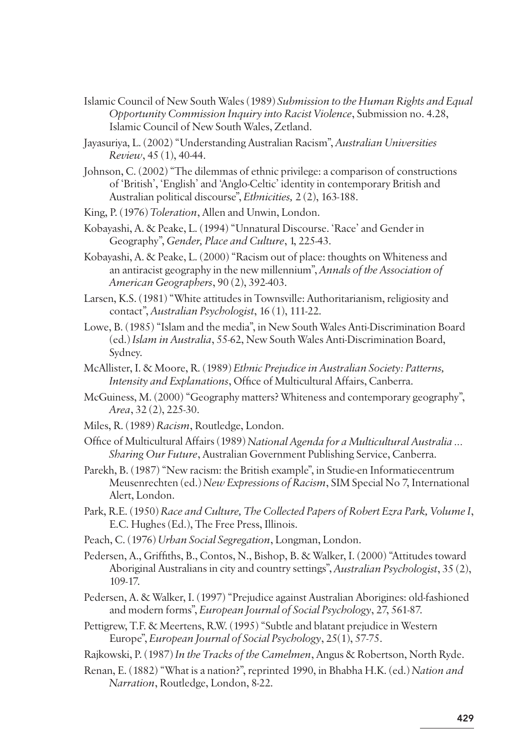- Islamic Council of New South Wales (1989) Submission to the Human Rights and Equal Opportunity Commission Inquiry into Racist Violence, Submission no. 4.28, Islamic Council of New South Wales, Zetland.
- Jayasuriya, L. (2002) "Understanding Australian Racism", Australian Universities Review, 45 (1), 40-44.
- Johnson, C. (2002) "The dilemmas of ethnic privilege: a comparison of constructions of 'British', 'English' and 'Anglo-Celtic' identity in contemporary British and Australian political discourse", Ethnicities, 2 (2), 163-188.
- King, P. (1976) Toleration, Allen and Unwin, London.
- Kobayashi, A. & Peake, L. (1994) "Unnatural Discourse. 'Race' and Gender in Geography", Gender, Place and Culture, 1, 225-43.
- Kobayashi, A. & Peake, L. (2000) "Racism out of place: thoughts on Whiteness and an antiracist geography in the new millennium", Annals of the Association of American Geographers, 90 (2), 392-403.
- Larsen, K.S. (1981) "White attitudes in Townsville: Authoritarianism, religiosity and contact", Australian Psychologist, 16 (1), 111-22.
- Lowe, B. (1985) "Islam and the media", in New South Wales Anti-Discrimination Board (ed.) Islam in Australia, 55-62, New South Wales Anti-Discrimination Board, Sydney.
- McAllister, I. & Moore, R. (1989) Ethnic Prejudice in Australian Society: Patterns, Intensity and Explanations, Office of Multicultural Affairs, Canberra.
- McGuiness, M. (2000) "Geography matters? Whiteness and contemporary geography", Area, 32 (2), 225-30.
- Miles, R. (1989) Racism, Routledge, London.
- Office of Multicultural Affairs (1989) National Agenda for a Multicultural Australia ... Sharing Our Future, Australian Government Publishing Service, Canberra.
- Parekh, B. (1987) "New racism: the British example", in Studie-en Informatiecentrum Meusenrechten (ed.) New Expressions of Racism, SIM Special No 7, International Alert, London.
- Park, R.E. (1950) Race and Culture, The Collected Papers of Robert Ezra Park, Volume I, E.C. Hughes (Ed.), The Free Press, Illinois.
- Peach, C. (1976) Urban Social Segregation, Longman, London.
- Pedersen, A., Griffiths, B., Contos, N., Bishop, B. & Walker, I. (2000) "Attitudes toward Aboriginal Australians in city and country settings", Australian Psychologist, 35 (2), 109-17.
- Pedersen, A. & Walker, I. (1997) "Prejudice against Australian Aborigines: old-fashioned and modern forms", European Journal of Social Psychology, 27, 561-87.
- Pettigrew, T.F. & Meertens, R.W. (1995) "Subtle and blatant prejudice in Western Europe", European Journal of Social Psychology, 25(1), 57-75.
- Rajkowski, P. (1987) In the Tracks of the Camelmen, Angus & Robertson, North Ryde.
- Renan, E. (1882) "What is a nation?", reprinted 1990, in Bhabha H.K. (ed.) Nation and Narration, Routledge, London, 8-22.